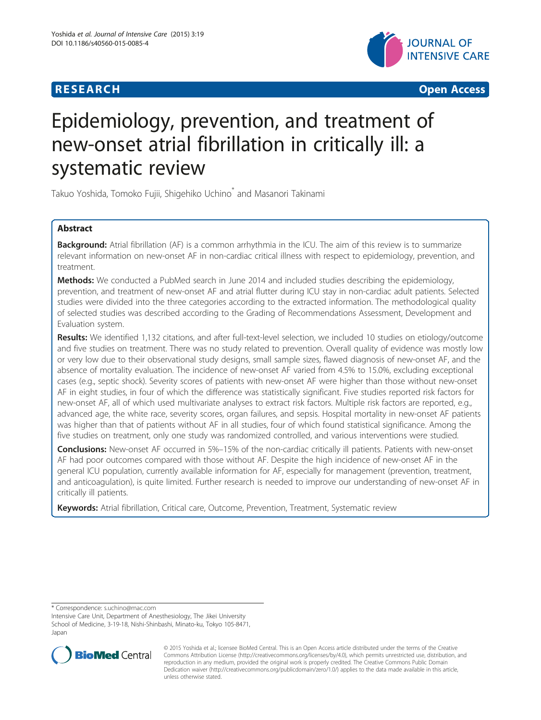



# Epidemiology, prevention, and treatment of new-onset atrial fibrillation in critically ill: a systematic review

Takuo Yoshida, Tomoko Fujii, Shigehiko Uchino\* and Masanori Takinami

# Abstract

Background: Atrial fibrillation (AF) is a common arrhythmia in the ICU. The aim of this review is to summarize relevant information on new-onset AF in non-cardiac critical illness with respect to epidemiology, prevention, and treatment.

**Methods:** We conducted a PubMed search in June 2014 and included studies describing the epidemiology, prevention, and treatment of new-onset AF and atrial flutter during ICU stay in non-cardiac adult patients. Selected studies were divided into the three categories according to the extracted information. The methodological quality of selected studies was described according to the Grading of Recommendations Assessment, Development and Evaluation system.

Results: We identified 1,132 citations, and after full-text-level selection, we included 10 studies on etiology/outcome and five studies on treatment. There was no study related to prevention. Overall quality of evidence was mostly low or very low due to their observational study designs, small sample sizes, flawed diagnosis of new-onset AF, and the absence of mortality evaluation. The incidence of new-onset AF varied from 4.5% to 15.0%, excluding exceptional cases (e.g., septic shock). Severity scores of patients with new-onset AF were higher than those without new-onset AF in eight studies, in four of which the difference was statistically significant. Five studies reported risk factors for new-onset AF, all of which used multivariate analyses to extract risk factors. Multiple risk factors are reported, e.g., advanced age, the white race, severity scores, organ failures, and sepsis. Hospital mortality in new-onset AF patients was higher than that of patients without AF in all studies, four of which found statistical significance. Among the five studies on treatment, only one study was randomized controlled, and various interventions were studied.

Conclusions: New-onset AF occurred in 5%-15% of the non-cardiac critically ill patients. Patients with new-onset AF had poor outcomes compared with those without AF. Despite the high incidence of new-onset AF in the general ICU population, currently available information for AF, especially for management (prevention, treatment, and anticoagulation), is quite limited. Further research is needed to improve our understanding of new-onset AF in critically ill patients.

Keywords: Atrial fibrillation, Critical care, Outcome, Prevention, Treatment, Systematic review

\* Correspondence: [s.uchino@mac.com](mailto:s.uchino@mac.com)

Intensive Care Unit, Department of Anesthesiology, The Jikei University School of Medicine, 3-19-18, Nishi-Shinbashi, Minato-ku, Tokyo 105-8471, Japan



<sup>© 2015</sup> Yoshida et al.; licensee BioMed Central. This is an Open Access article distributed under the terms of the Creative Commons Attribution License [\(http://creativecommons.org/licenses/by/4.0\)](http://creativecommons.org/licenses/by/4.0), which permits unrestricted use, distribution, and reproduction in any medium, provided the original work is properly credited. The Creative Commons Public Domain Dedication waiver [\(http://creativecommons.org/publicdomain/zero/1.0/](http://creativecommons.org/publicdomain/zero/1.0/)) applies to the data made available in this article, unless otherwise stated.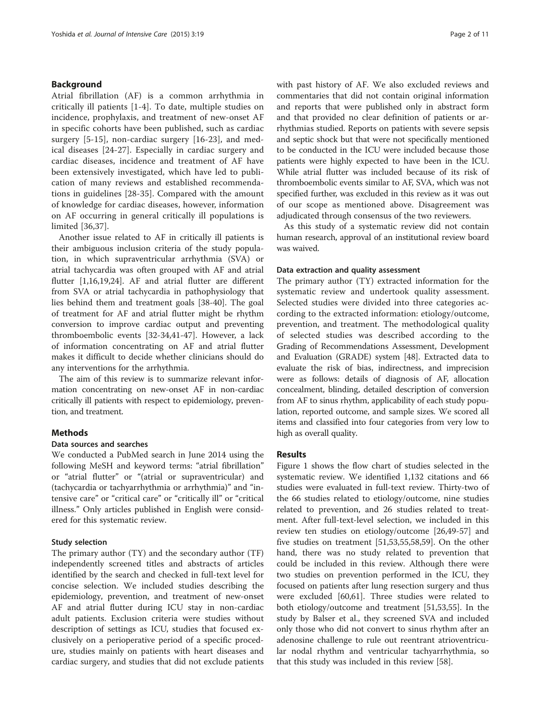### Background

Atrial fibrillation (AF) is a common arrhythmia in critically ill patients [\[1-4](#page-8-0)]. To date, multiple studies on incidence, prophylaxis, and treatment of new-onset AF in specific cohorts have been published, such as cardiac surgery [[5-](#page-8-0)[15\]](#page-9-0), non-cardiac surgery [[16-23](#page-9-0)], and medical diseases [[24-27\]](#page-9-0). Especially in cardiac surgery and cardiac diseases, incidence and treatment of AF have been extensively investigated, which have led to publication of many reviews and established recommendations in guidelines [[28-35](#page-9-0)]. Compared with the amount of knowledge for cardiac diseases, however, information on AF occurring in general critically ill populations is limited [\[36,37\]](#page-9-0).

Another issue related to AF in critically ill patients is their ambiguous inclusion criteria of the study population, in which supraventricular arrhythmia (SVA) or atrial tachycardia was often grouped with AF and atrial flutter [[1,](#page-8-0)[16,19,24](#page-9-0)]. AF and atrial flutter are different from SVA or atrial tachycardia in pathophysiology that lies behind them and treatment goals [\[38](#page-9-0)-[40](#page-9-0)]. The goal of treatment for AF and atrial flutter might be rhythm conversion to improve cardiac output and preventing thromboembolic events [\[32](#page-9-0)-[34,41-47\]](#page-9-0). However, a lack of information concentrating on AF and atrial flutter makes it difficult to decide whether clinicians should do any interventions for the arrhythmia.

The aim of this review is to summarize relevant information concentrating on new-onset AF in non-cardiac critically ill patients with respect to epidemiology, prevention, and treatment.

## **Methods**

#### Data sources and searches

We conducted a PubMed search in June 2014 using the following MeSH and keyword terms: "atrial fibrillation" or "atrial flutter" or "(atrial or supraventricular) and (tachycardia or tachyarrhythmia or arrhythmia)" and "intensive care" or "critical care" or "critically ill" or "critical illness." Only articles published in English were considered for this systematic review.

#### Study selection

The primary author (TY) and the secondary author (TF) independently screened titles and abstracts of articles identified by the search and checked in full-text level for concise selection. We included studies describing the epidemiology, prevention, and treatment of new-onset AF and atrial flutter during ICU stay in non-cardiac adult patients. Exclusion criteria were studies without description of settings as ICU, studies that focused exclusively on a perioperative period of a specific procedure, studies mainly on patients with heart diseases and cardiac surgery, and studies that did not exclude patients with past history of AF. We also excluded reviews and commentaries that did not contain original information and reports that were published only in abstract form and that provided no clear definition of patients or arrhythmias studied. Reports on patients with severe sepsis and septic shock but that were not specifically mentioned to be conducted in the ICU were included because those patients were highly expected to have been in the ICU. While atrial flutter was included because of its risk of thromboembolic events similar to AF, SVA, which was not specified further, was excluded in this review as it was out of our scope as mentioned above. Disagreement was adjudicated through consensus of the two reviewers.

As this study of a systematic review did not contain human research, approval of an institutional review board was waived.

#### Data extraction and quality assessment

The primary author (TY) extracted information for the systematic review and undertook quality assessment. Selected studies were divided into three categories according to the extracted information: etiology/outcome, prevention, and treatment. The methodological quality of selected studies was described according to the Grading of Recommendations Assessment, Development and Evaluation (GRADE) system [[48](#page-9-0)]. Extracted data to evaluate the risk of bias, indirectness, and imprecision were as follows: details of diagnosis of AF, allocation concealment, blinding, detailed description of conversion from AF to sinus rhythm, applicability of each study population, reported outcome, and sample sizes. We scored all items and classified into four categories from very low to high as overall quality.

#### Results

Figure [1](#page-2-0) shows the flow chart of studies selected in the systematic review. We identified 1,132 citations and 66 studies were evaluated in full-text review. Thirty-two of the 66 studies related to etiology/outcome, nine studies related to prevention, and 26 studies related to treatment. After full-text-level selection, we included in this review ten studies on etiology/outcome [[26](#page-9-0),[49](#page-9-0)-[57\]](#page-10-0) and five studies on treatment [\[51,53](#page-9-0)[,55,58,59](#page-10-0)]. On the other hand, there was no study related to prevention that could be included in this review. Although there were two studies on prevention performed in the ICU, they focused on patients after lung resection surgery and thus were excluded [[60,61\]](#page-10-0). Three studies were related to both etiology/outcome and treatment [[51](#page-9-0),[53](#page-9-0),[55](#page-10-0)]. In the study by Balser et al., they screened SVA and included only those who did not convert to sinus rhythm after an adenosine challenge to rule out reentrant atrioventricular nodal rhythm and ventricular tachyarrhythmia, so that this study was included in this review [[58\]](#page-10-0).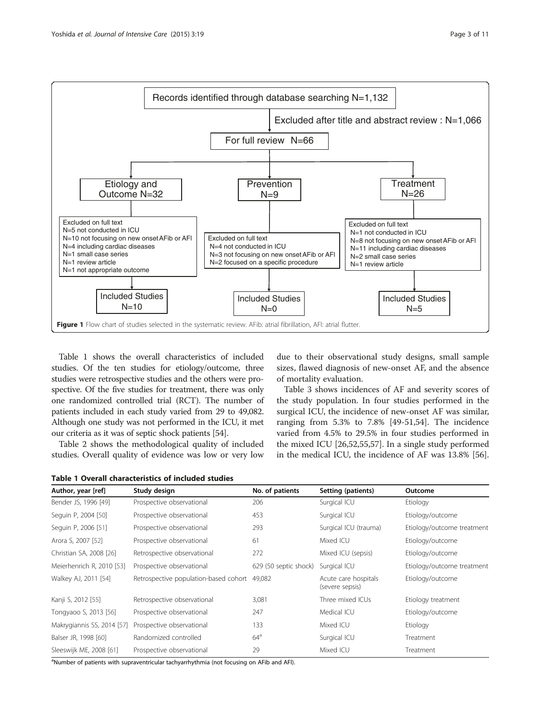

<span id="page-2-0"></span>

Table 1 shows the overall characteristics of included studies. Of the ten studies for etiology/outcome, three studies were retrospective studies and the others were prospective. Of the five studies for treatment, there was only one randomized controlled trial (RCT). The number of patients included in each study varied from 29 to 49,082. Although one study was not performed in the ICU, it met our criteria as it was of septic shock patients [\[54\]](#page-9-0).

Table [2](#page-3-0) shows the methodological quality of included studies. Overall quality of evidence was low or very low

| Table 1 Overall characteristics of included studies |  |  |  |  |  |  |  |
|-----------------------------------------------------|--|--|--|--|--|--|--|
|-----------------------------------------------------|--|--|--|--|--|--|--|

due to their observational study designs, small sample sizes, flawed diagnosis of new-onset AF, and the absence of mortality evaluation.

Table [3](#page-4-0) shows incidences of AF and severity scores of the study population. In four studies performed in the surgical ICU, the incidence of new-onset AF was similar, ranging from 5.3% to 7.8% [\[49-51](#page-9-0),[54](#page-9-0)]. The incidence varied from 4.5% to 29.5% in four studies performed in the mixed ICU [[26,52,](#page-9-0)[55,57\]](#page-10-0). In a single study performed in the medical ICU, the incidence of AF was 13.8% [\[56](#page-10-0)].

| Author, year [ref]         | Study design                          | No. of patients       | Setting (patients)                      | Outcome                    |
|----------------------------|---------------------------------------|-----------------------|-----------------------------------------|----------------------------|
| Bender JS, 1996 [49]       | Prospective observational             | 206                   | Surgical ICU                            | Etiology                   |
| Seguin P, 2004 [50]        | Prospective observational             | 453                   | Surgical ICU                            | Etiology/outcome           |
| Seguin P, 2006 [51]        | Prospective observational             | 293                   | Surgical ICU (trauma)                   | Etiology/outcome treatment |
| Arora S, 2007 [52]         | Prospective observational             | 61                    | Mixed ICU                               | Etiology/outcome           |
| Christian SA, 2008 [26]    | Retrospective observational           | 272                   | Mixed ICU (sepsis)                      | Etiology/outcome           |
| Meierhenrich R, 2010 [53]  | Prospective observational             | 629 (50 septic shock) | Surgical ICU                            | Etiology/outcome treatment |
| Walkey AJ, 2011 [54]       | Retrospective population-based cohort | 49,082                | Acute care hospitals<br>(severe sepsis) | Etiology/outcome           |
| Kanji S, 2012 [55]         | Retrospective observational           | 3,081                 | Three mixed ICUs                        | Etiology treatment         |
| Tongyaoo S, 2013 [56]      | Prospective observational             | 247                   | Medical ICU                             | Etiology/outcome           |
| Makrygiannis SS, 2014 [57] | Prospective observational             | 133                   | Mixed ICU                               | Etiology                   |
| Balser JR, 1998 [60]       | Randomized controlled                 | $64^{\circ}$          | Surgical ICU                            | Treatment                  |
| Sleeswijk ME, 2008 [61]    | Prospective observational             | 29                    | Mixed ICU                               | Treatment                  |

<sup>a</sup>Number of patients with supraventricular tachyarrhythmia (not focusing on AFib and AFI).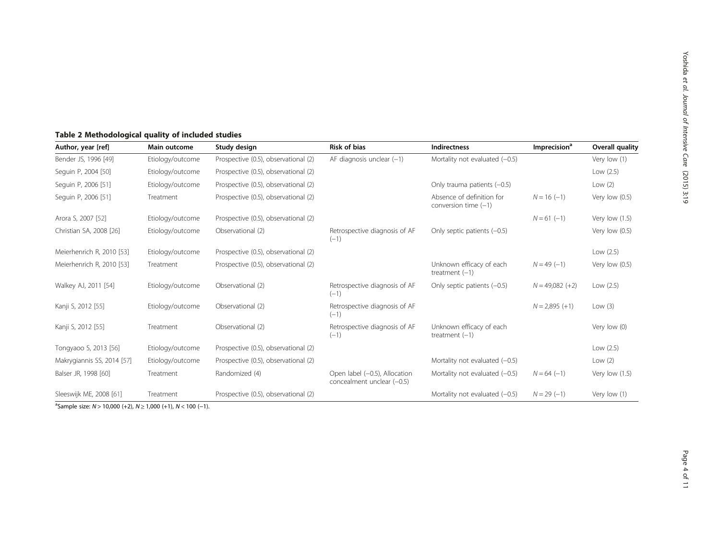# <span id="page-3-0"></span>Table 2 Methodological quality of included studies

| Author, year [ref]         | Study design<br>Main outcome |                                      | <b>Risk of bias</b><br><b>Indirectness</b>                                              |                                                     | Imprecision <sup>a</sup> | Overall quality  |
|----------------------------|------------------------------|--------------------------------------|-----------------------------------------------------------------------------------------|-----------------------------------------------------|--------------------------|------------------|
| Bender JS, 1996 [49]       | Etiology/outcome             | Prospective (0.5), observational (2) | AF diagnosis unclear $(-1)$                                                             | Mortality not evaluated $(-0.5)$                    |                          | Very low (1)     |
| Seguin P, 2004 [50]        | Etiology/outcome             | Prospective (0.5), observational (2) |                                                                                         |                                                     |                          | Low (2.5)        |
| Seguin P, 2006 [51]        | Etiology/outcome             | Prospective (0.5), observational (2) |                                                                                         | Only trauma patients (-0.5)                         |                          | Low $(2)$        |
| Seguin P, 2006 [51]        | Treatment                    | Prospective (0.5), observational (2) |                                                                                         | Absence of definition for<br>conversion time $(-1)$ | $N = 16 (-1)$            | Very low $(0.5)$ |
| Arora S, 2007 [52]         | Etiology/outcome             | Prospective (0.5), observational (2) |                                                                                         |                                                     | $N = 61 (-1)$            | Very low $(1.5)$ |
| Christian SA, 2008 [26]    | Etiology/outcome             | Observational (2)                    | Retrospective diagnosis of AF<br>$(-1)$                                                 | Only septic patients $(-0.5)$                       |                          | Very low (0.5)   |
| Meierhenrich R, 2010 [53]  | Etiology/outcome             | Prospective (0.5), observational (2) |                                                                                         |                                                     |                          | Low $(2.5)$      |
| Meierhenrich R, 2010 [53]  | Treatment                    | Prospective (0.5), observational (2) |                                                                                         | Unknown efficacy of each<br>treatment $(-1)$        | $N = 49(-1)$             | Very low $(0.5)$ |
| Walkey AJ, 2011 [54]       | Etiology/outcome             | Observational (2)                    | Retrospective diagnosis of AF<br>Only septic patients (-0.5)<br>$(-1)$                  |                                                     | $N = 49,082 (+2)$        | Low $(2.5)$      |
| Kanji S, 2012 [55]         | Etiology/outcome             | Observational (2)                    | Retrospective diagnosis of AF<br>$(-1)$                                                 |                                                     | $N = 2,895 (+1)$         | Low $(3)$        |
| Kanji S, 2012 [55]         | Treatment                    | Observational (2)                    | Retrospective diagnosis of AF<br>Unknown efficacy of each<br>treatment $(-1)$<br>$(-1)$ |                                                     |                          | Very low (0)     |
| Tongyaoo S, 2013 [56]      | Etiology/outcome             | Prospective (0.5), observational (2) |                                                                                         |                                                     |                          | Low (2.5)        |
| Makrygiannis SS, 2014 [57] | Etiology/outcome             | Prospective (0.5), observational (2) |                                                                                         | Mortality not evaluated $(-0.5)$                    |                          | Low $(2)$        |
| Balser JR, 1998 [60]       | Treatment                    | Randomized (4)                       | Open label (-0.5), Allocation<br>concealment unclear (-0.5)                             | Mortality not evaluated $(-0.5)$                    | $N = 64 (-1)$            | Very low (1.5)   |
| Sleeswijk ME, 2008 [61]    | Treatment                    | Prospective (0.5), observational (2) |                                                                                         | Mortality not evaluated $(-0.5)$                    | $N = 29(-1)$             | Very low (1)     |

<sup>a</sup>Sample size: N > 10,000 (+2), N ≥ 1,000 (+1), N < 100 (-1).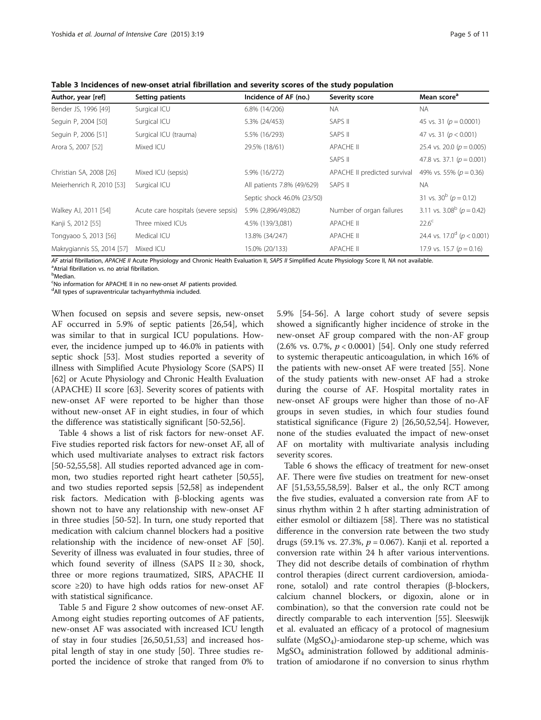<span id="page-4-0"></span>Table 3 Incidences of new-onset atrial fibrillation and severity scores of the study population

| Author, year [ref]         | Setting patients                     | Incidence of AF (no.)      | Severity score               | Mean score <sup>a</sup>                    |
|----------------------------|--------------------------------------|----------------------------|------------------------------|--------------------------------------------|
| Bender JS, 1996 [49]       | Surgical ICU                         | 6.8% (14/206)              | <b>NA</b>                    | <b>NA</b>                                  |
| Seguin P, 2004 [50]        | Surgical ICU                         | 5.3% (24/453)              | SAPS II                      | 45 vs. 31 ( $p = 0.0001$ )                 |
| Seguin P, 2006 [51]        | Surgical ICU (trauma)                | 5.5% (16/293)              | SAPS II                      | 47 vs. 31 ( $p < 0.001$ )                  |
| Arora S, 2007 [52]         | Mixed ICU                            | 29.5% (18/61)              | APACHE II                    | 25.4 vs. 20.0 ( $p = 0.005$ )              |
|                            |                                      |                            | SAPS II                      | 47.8 vs. 37.1 ( $p = 0.001$ )              |
| Christian SA, 2008 [26]    | Mixed ICU (sepsis)                   | 5.9% (16/272)              | APACHE II predicted survival | 49% vs. 55% ( $p = 0.36$ )                 |
| Meierhenrich R, 2010 [53]  | Surgical ICU                         | All patients 7.8% (49/629) | SAPS II                      | <b>NA</b>                                  |
|                            |                                      | Septic shock 46.0% (23/50) |                              | 31 vs. $30^b$ ( $p = 0.12$ )               |
| Walkey AJ, 2011 [54]       | Acute care hospitals (severe sepsis) | 5.9% (2,896/49,082)        | Number of organ failures     | 3.11 vs. $3.08^b$ ( $p = 0.42$ )           |
| Kanji S, 2012 [55]         | Three mixed ICUs                     | 4.5% (139/3,081)           | <b>APACHE II</b>             | $22.6^{\circ}$                             |
| Tongyaoo S, 2013 [56]      | Medical ICU                          | 13.8% (34/247)             | <b>APACHE II</b>             | 24.4 vs. 17.0 <sup>d</sup> ( $p < 0.001$ ) |
| Makrygiannis SS, 2014 [57] | Mixed ICU                            | 15.0% (20/133)             | <b>APACHE II</b>             | 17.9 vs. 15.7 ( $p = 0.16$ )               |

AF atrial fibrillation, APACHE II Acute Physiology and Chronic Health Evaluation II, SAPS II Simplified Acute Physiology Score II, NA not available. <sup>a</sup>Atrial fibrillation vs. no atrial fibrillation.

<sup>b</sup>Median.

<sup>c</sup>No information for APACHE II in no new-onset AF patients provided.

<sup>d</sup>All types of supraventricular tachyarrhythmia included.

When focused on sepsis and severe sepsis, new-onset AF occurred in 5.9% of septic patients [[26,54\]](#page-9-0), which was similar to that in surgical ICU populations. However, the incidence jumped up to 46.0% in patients with septic shock [\[53\]](#page-9-0). Most studies reported a severity of illness with Simplified Acute Physiology Score (SAPS) II [[62\]](#page-10-0) or Acute Physiology and Chronic Health Evaluation (APACHE) II score [[63\]](#page-10-0). Severity scores of patients with new-onset AF were reported to be higher than those without new-onset AF in eight studies, in four of which the difference was statistically significant [\[50](#page-9-0)-[52,](#page-9-0)[56\]](#page-10-0).

Table [4](#page-5-0) shows a list of risk factors for new-onset AF. Five studies reported risk factors for new-onset AF, all of which used multivariate analyses to extract risk factors [[50-52](#page-9-0)[,55,58\]](#page-10-0). All studies reported advanced age in common, two studies reported right heart catheter [\[50](#page-9-0)[,55](#page-10-0)], and two studies reported sepsis [[52,](#page-9-0)[58\]](#page-10-0) as independent risk factors. Medication with β-blocking agents was shown not to have any relationship with new-onset AF in three studies [[50-52\]](#page-9-0). In turn, one study reported that medication with calcium channel blockers had a positive relationship with the incidence of new-onset AF [\[50](#page-9-0)]. Severity of illness was evaluated in four studies, three of which found severity of illness (SAPS  $II \geq 30$ , shock, three or more regions traumatized, SIRS, APACHE II score ≥20) to have high odds ratios for new-onset AF with statistical significance.

Table [5](#page-6-0) and Figure [2](#page-6-0) show outcomes of new-onset AF. Among eight studies reporting outcomes of AF patients, new-onset AF was associated with increased ICU length of stay in four studies [[26,50,51,53](#page-9-0)] and increased hospital length of stay in one study [\[50](#page-9-0)]. Three studies reported the incidence of stroke that ranged from 0% to 5.9% [\[54-](#page-9-0)[56](#page-10-0)]. A large cohort study of severe sepsis showed a significantly higher incidence of stroke in the new-onset AF group compared with the non-AF group (2.6% vs. 0.7%,  $p < 0.0001$ ) [[54\]](#page-9-0). Only one study referred to systemic therapeutic anticoagulation, in which 16% of the patients with new-onset AF were treated [[55](#page-10-0)]. None of the study patients with new-onset AF had a stroke during the course of AF. Hospital mortality rates in new-onset AF groups were higher than those of no-AF groups in seven studies, in which four studies found statistical significance (Figure [2](#page-6-0)) [[26](#page-9-0),[50](#page-9-0),[52](#page-9-0),[54](#page-9-0)]. However, none of the studies evaluated the impact of new-onset AF on mortality with multivariate analysis including severity scores.

Table [6](#page-7-0) shows the efficacy of treatment for new-onset AF. There were five studies on treatment for new-onset AF [\[51,53](#page-9-0)[,55,58,59\]](#page-10-0). Balser et al., the only RCT among the five studies, evaluated a conversion rate from AF to sinus rhythm within 2 h after starting administration of either esmolol or diltiazem [\[58](#page-10-0)]. There was no statistical difference in the conversion rate between the two study drugs (59.1% vs. 27.3%,  $p = 0.067$ ). Kanji et al. reported a conversion rate within 24 h after various interventions. They did not describe details of combination of rhythm control therapies (direct current cardioversion, amiodarone, sotalol) and rate control therapies (β-blockers, calcium channel blockers, or digoxin, alone or in combination), so that the conversion rate could not be directly comparable to each intervention [[55](#page-10-0)]. Sleeswijk et al. evaluated an efficacy of a protocol of magnesium sulfate  $(MgSO_4)$ -amiodarone step-up scheme, which was  $MgSO<sub>4</sub>$  administration followed by additional administration of amiodarone if no conversion to sinus rhythm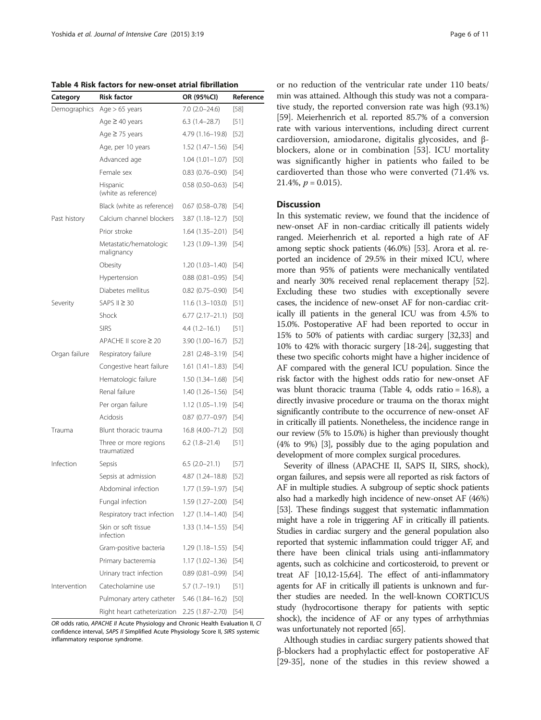<span id="page-5-0"></span>Table 4 Risk factors for new-onset atrial fibrillation

| Category      | <b>Risk factor</b>                   | OR (95%CI)          | Reference |
|---------------|--------------------------------------|---------------------|-----------|
| Demographics  | Age $> 65$ years                     | $7.0(2.0-24.6)$     | $[58]$    |
|               | Age $\geq$ 40 years                  | $6.3(1.4-28.7)$     | [51]      |
|               | Age $\geq$ 75 years                  | 4.79 (1.16–19.8)    | [52]      |
|               | Age, per 10 years                    | $1.52(1.47-1.56)$   | $[54]$    |
|               | Advanced age                         | $1.04(1.01 - 1.07)$ | [50]      |
|               | Female sex                           | $0.83(0.76 - 0.90)$ | [54]      |
|               | Hispanic<br>(white as reference)     | $0.58(0.50 - 0.63)$ | $[54]$    |
|               | Black (white as reference)           | $0.67(0.58 - 0.78)$ | $[54]$    |
| Past history  | Calcium channel blockers             | $3.87(1.18 - 12.7)$ | [50]      |
|               | Prior stroke                         | $1.64(1.35 - 2.01)$ | [54]      |
|               | Metastatic/hematologic<br>malignancy | $1.23(1.09-1.39)$   | [54]      |
|               | Obesity                              | $1.20(1.03 - 1.40)$ | $[54]$    |
|               | Hypertension                         | $0.88(0.81 - 0.95)$ | $[54]$    |
|               | Diabetes mellitus                    | $0.82$ (0.75-0.90)  | $[54]$    |
| Severity      | SAPS $II \geq 30$                    | $11.6(1.3-103.0)$   | [51]      |
|               | Shock                                | $6.77(2.17-21.1)$   | [50]      |
|               | <b>SIRS</b>                          | $4.4(1.2 - 16.1)$   | [51]      |
|               | APACHE II score $\geq 20$            | $3.90(1.00-16.7)$   | $[52]$    |
| Organ failure | Respiratory failure                  | 2.81 (2.48-3.19)    | $[54]$    |
|               | Congestive heart failure             | $1.61(1.41-1.83)$   | [54]      |
|               | Hematologic failure                  | $1.50(1.34 - 1.68)$ | [54]      |
|               | Renal failure                        | $1.40(1.26 - 1.56)$ | $[54]$    |
|               | Per organ failure                    | $1.12(1.05 - 1.19)$ | [54]      |
|               | Acidosis                             | $0.87(0.77-0.97)$   | [54]      |
| Trauma        | Blunt thoracic trauma                | 16.8 (4.00-71.2)    | [50]      |
|               | Three or more regions<br>traumatized | $6.2$ (1.8–21.4)    | [51]      |
| Infection     | Sepsis                               | $6.5(2.0-21.1)$     | [57]      |
|               | Sepsis at admission                  | 4.87 (1.24–18.8)    | [52]      |
|               | Abdominal infection                  | 1.77 (1.59–1.97)    | [54]      |
|               | Fungal infection                     | 1.59 (1.27–2.00)    | [54]      |
|               | Respiratory tract infection          | $1.27(1.14 - 1.40)$ | $[54]$    |
|               | Skin or soft tissue<br>infection     | 1.33 (1.14–1.55)    | [54]      |
|               | Gram-positive bacteria               | $1.29(1.18-1.55)$   | [54]      |
|               | Primary bacteremia                   | $1.17(1.02 - 1.36)$ | [54]      |
|               | Urinary tract infection              | $0.89(0.81 - 0.99)$ | [54]      |
| Intervention  | Catecholamine use                    | 5.7 (1.7–19.1)      | [51]      |
|               | Pulmonary artery catheter            | 5.46 (1.84-16.2)    | [50]      |
|               | Right heart catheterization          | 2.25 (1.87-2.70)    | [54]      |

OR odds ratio, APACHE II Acute Physiology and Chronic Health Evaluation II, CI confidence interval, SAPS II Simplified Acute Physiology Score II, SIRS systemic inflammatory response syndrome.

or no reduction of the ventricular rate under 110 beats/ min was attained. Although this study was not a comparative study, the reported conversion rate was high (93.1%) [[59](#page-10-0)]. Meierhenrich et al. reported 85.7% of a conversion rate with various interventions, including direct current cardioversion, amiodarone, digitalis glycosides, and βblockers, alone or in combination [[53\]](#page-9-0). ICU mortality was significantly higher in patients who failed to be cardioverted than those who were converted (71.4% vs.  $21.4\%, p = 0.015$ .

#### **Discussion**

In this systematic review, we found that the incidence of new-onset AF in non-cardiac critically ill patients widely ranged. Meierhenrich et al. reported a high rate of AF among septic shock patients (46.0%) [[53](#page-9-0)]. Arora et al. reported an incidence of 29.5% in their mixed ICU, where more than 95% of patients were mechanically ventilated and nearly 30% received renal replacement therapy [\[52](#page-9-0)]. Excluding these two studies with exceptionally severe cases, the incidence of new-onset AF for non-cardiac critically ill patients in the general ICU was from 4.5% to 15.0%. Postoperative AF had been reported to occur in 15% to 50% of patients with cardiac surgery [\[32,33\]](#page-9-0) and 10% to 42% with thoracic surgery [\[18-24\]](#page-9-0), suggesting that these two specific cohorts might have a higher incidence of AF compared with the general ICU population. Since the risk factor with the highest odds ratio for new-onset AF was blunt thoracic trauma (Table 4, odds ratio = 16.8), a directly invasive procedure or trauma on the thorax might significantly contribute to the occurrence of new-onset AF in critically ill patients. Nonetheless, the incidence range in our review (5% to 15.0%) is higher than previously thought (4% to 9%) [[3](#page-8-0)], possibly due to the aging population and development of more complex surgical procedures.

Severity of illness (APACHE II, SAPS II, SIRS, shock), organ failures, and sepsis were all reported as risk factors of AF in multiple studies. A subgroup of septic shock patients also had a markedly high incidence of new-onset AF (46%) [[53](#page-9-0)]. These findings suggest that systematic inflammation might have a role in triggering AF in critically ill patients. Studies in cardiac surgery and the general population also reported that systemic inflammation could trigger AF, and there have been clinical trials using anti-inflammatory agents, such as colchicine and corticosteroid, to prevent or treat AF [\[10,12](#page-8-0)[-15](#page-9-0)[,64](#page-10-0)]. The effect of anti-inflammatory agents for AF in critically ill patients is unknown and further studies are needed. In the well-known CORTICUS study (hydrocortisone therapy for patients with septic shock), the incidence of AF or any types of arrhythmias was unfortunately not reported [\[65\]](#page-10-0).

Although studies in cardiac surgery patients showed that β-blockers had a prophylactic effect for postoperative AF [[29](#page-9-0)-[35\]](#page-9-0), none of the studies in this review showed a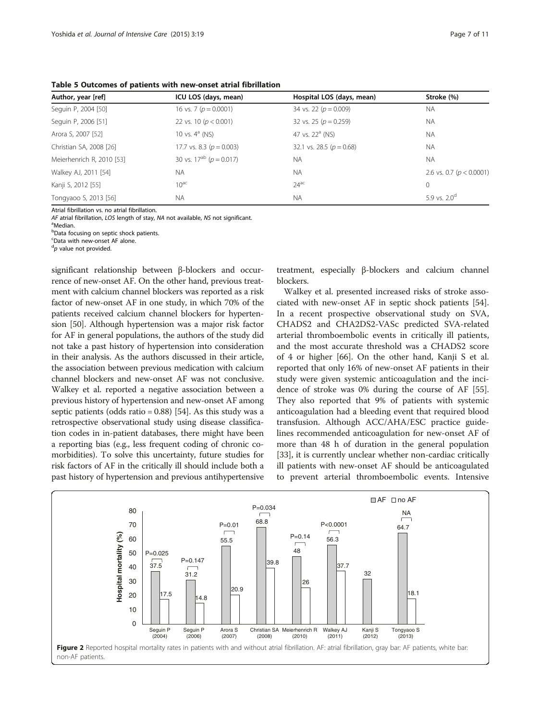<span id="page-6-0"></span>Table 5 Outcomes of patients with new-onset atrial fibrillation

| Author, year [ref]        | ICU LOS (days, mean)             | Hospital LOS (days, mean)    | Stroke (%)                   |
|---------------------------|----------------------------------|------------------------------|------------------------------|
| Seguin P, 2004 [50]       | 16 vs. 7 ( $p = 0.0001$ )        | 34 vs. 22 ( $p = 0.009$ )    | <b>NA</b>                    |
| Seguin P, 2006 [51]       | 22 vs. 10 ( $p < 0.001$ )        | 32 vs. 25 ( $p = 0.259$ )    | <b>NA</b>                    |
| Arora S, 2007 [52]        | 10 vs. $4^a$ (NS)                | 47 vs. $22^a$ (NS)           | <b>NA</b>                    |
| Christian SA, 2008 [26]   | 17.7 vs. 8.3 ( $p = 0.003$ )     | 32.1 vs. 28.5 ( $p = 0.68$ ) | <b>NA</b>                    |
| Meierhenrich R, 2010 [53] | 30 vs. $17^{ab}$ ( $p = 0.017$ ) | <b>NA</b>                    | <b>NA</b>                    |
| Walkey AJ, 2011 [54]      | <b>NA</b>                        | <b>NA</b>                    | 2.6 vs. 0.7 ( $p < 0.0001$ ) |
| Kanji S, 2012 [55]        | $10^{ac}$                        | $24$ <sup>ac</sup>           | 0                            |
| Tongyaoo S, 2013 [56]     | <b>NA</b>                        | <b>NA</b>                    | 5.9 vs. $2.0^{\circ}$        |

Atrial fibrillation vs. no atrial fibrillation.

AF atrial fibrillation, LOS length of stay, NA not available, NS not significant.

<sup>a</sup>Median

b Data focusing on septic shock patients.

<sup>c</sup>Data with new-onset AF alone.

<sup>d</sup>p value not provided.

significant relationship between β-blockers and occurrence of new-onset AF. On the other hand, previous treatment with calcium channel blockers was reported as a risk factor of new-onset AF in one study, in which 70% of the patients received calcium channel blockers for hypertension [\[50\]](#page-9-0). Although hypertension was a major risk factor for AF in general populations, the authors of the study did not take a past history of hypertension into consideration in their analysis. As the authors discussed in their article, the association between previous medication with calcium channel blockers and new-onset AF was not conclusive. Walkey et al. reported a negative association between a previous history of hypertension and new-onset AF among septic patients (odds ratio =  $0.88$ ) [\[54](#page-9-0)]. As this study was a retrospective observational study using disease classification codes in in-patient databases, there might have been a reporting bias (e.g., less frequent coding of chronic comorbidities). To solve this uncertainty, future studies for risk factors of AF in the critically ill should include both a past history of hypertension and previous antihypertensive

treatment, especially β-blockers and calcium channel blockers.

Walkey et al. presented increased risks of stroke associated with new-onset AF in septic shock patients [\[54](#page-9-0)]. In a recent prospective observational study on SVA, CHADS2 and CHA2DS2-VASc predicted SVA-related arterial thromboembolic events in critically ill patients, and the most accurate threshold was a CHADS2 score of 4 or higher [[66\]](#page-10-0). On the other hand, Kanji S et al. reported that only 16% of new-onset AF patients in their study were given systemic anticoagulation and the incidence of stroke was 0% during the course of AF [\[55](#page-10-0)]. They also reported that 9% of patients with systemic anticoagulation had a bleeding event that required blood transfusion. Although ACC/AHA/ESC practice guidelines recommended anticoagulation for new-onset AF of more than 48 h of duration in the general population [[33\]](#page-9-0), it is currently unclear whether non-cardiac critically ill patients with new-onset AF should be anticoagulated to prevent arterial thromboembolic events. Intensive

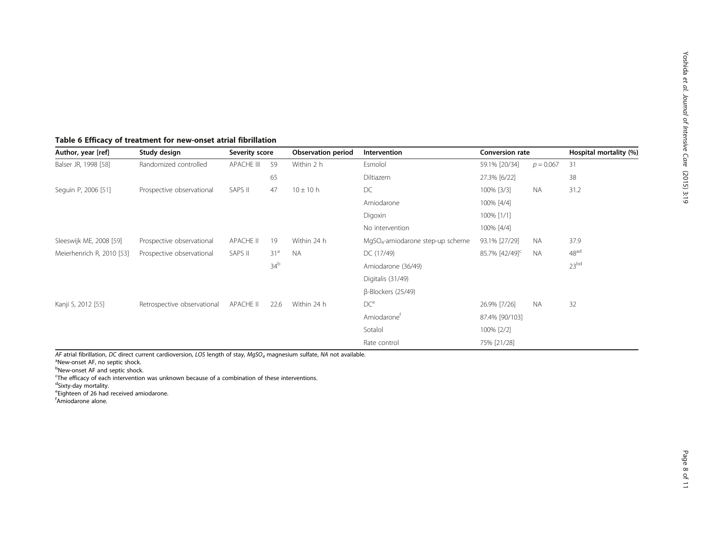## <span id="page-7-0"></span>Table 6 Efficacy of treatment for new-onset atrial fibrillation

| Author, year [ref]        | Study design                | Severity score    |                 | <b>Observation period</b> | Intervention                       | <b>Conversion rate</b>     |             | Hospital mortality (%) |
|---------------------------|-----------------------------|-------------------|-----------------|---------------------------|------------------------------------|----------------------------|-------------|------------------------|
| Balser JR, 1998 [58]      | Randomized controlled       | <b>APACHE III</b> | 59              | Within 2 h                | Esmolol                            | 59.1% [20/34]              | $p = 0.067$ | 31                     |
|                           |                             |                   | 65              |                           | Diltiazem                          | 27.3% [6/22]               |             | 38                     |
| Seguin P, 2006 [51]       | Prospective observational   | SAPS II           | 47              | $10 \pm 10$ h             | DC                                 | 100% [3/3]                 | <b>NA</b>   | 31.2                   |
|                           |                             |                   |                 |                           | Amiodarone                         | 100% [4/4]                 |             |                        |
|                           |                             |                   |                 |                           | Digoxin                            | 100% [1/1]                 |             |                        |
|                           |                             |                   |                 |                           | No intervention                    | 100% [4/4]                 |             |                        |
| Sleeswijk ME, 2008 [59]   | Prospective observational   | <b>APACHE II</b>  | 19              | Within 24 h               | $MqSO4$ -amiodarone step-up scheme | 93.1% [27/29]              | NA          | 37.9                   |
| Meierhenrich R, 2010 [53] | Prospective observational   | SAPS II           | 31 <sup>a</sup> | <b>NA</b>                 | DC (17/49)                         | 85.7% [42/49] <sup>c</sup> | <b>NA</b>   | 48 <sup>ad</sup>       |
|                           |                             |                   | 34 <sup>b</sup> |                           | Amiodarone (36/49)                 |                            |             | 23 <sup>bd</sup>       |
|                           |                             |                   |                 |                           | Digitalis (31/49)                  |                            |             |                        |
|                           |                             |                   |                 |                           | $\beta$ -Blockers (25/49)          |                            |             |                        |
| Kanji S, 2012 [55]        | Retrospective observational | APACHE II         | 22.6            | Within 24 h               | DC <sup>e</sup>                    | 26.9% [7/26]               | <b>NA</b>   | 32                     |
|                           |                             |                   |                 |                           | Amiodarone <sup>t</sup>            | 87.4% [90/103]             |             |                        |
|                           |                             |                   |                 |                           | Sotalol                            | 100% [2/2]                 |             |                        |
|                           |                             |                   |                 |                           | Rate control                       | 75% [21/28]                |             |                        |

AF atrial fibrillation, DC direct current cardioversion, LOS length of stay, MqSO<sub>4</sub> magnesium sulfate, NA not available.

New-onset AF, no septic shock.

<sup>b</sup>New-onset AF and septic shock.

<sup>c</sup>The efficacy of each intervention was unknown because of a combination of these interventions.

<sup>d</sup>Sixty-day mortality.<br><sup>e</sup>Eighteen of 26 had received amiodarone.

f Amiodarone alone.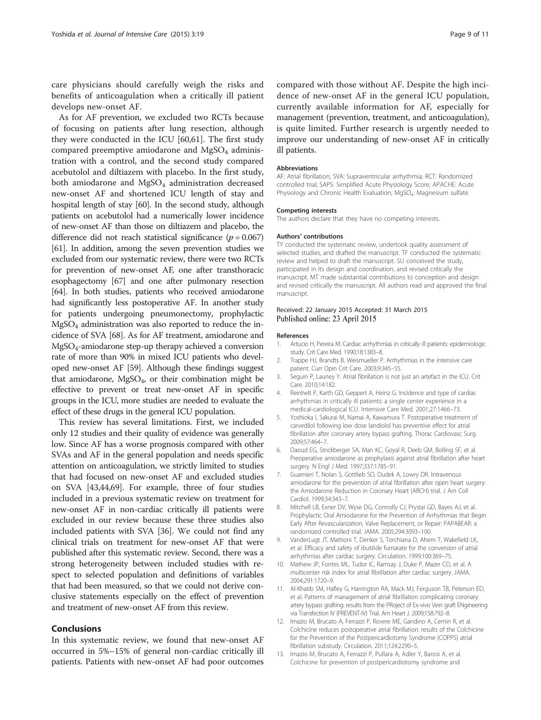<span id="page-8-0"></span>care physicians should carefully weigh the risks and benefits of anticoagulation when a critically ill patient develops new-onset AF.

As for AF prevention, we excluded two RCTs because of focusing on patients after lung resection, although they were conducted in the ICU [[60](#page-10-0),[61](#page-10-0)]. The first study compared preemptive amiodarone and  $MgSO<sub>4</sub>$  administration with a control, and the second study compared acebutolol and diltiazem with placebo. In the first study, both amiodarone and MgSO<sub>4</sub> administration decreased new-onset AF and shortened ICU length of stay and hospital length of stay [\[60\]](#page-10-0). In the second study, although patients on acebutolol had a numerically lower incidence of new-onset AF than those on diltiazem and placebo, the difference did not reach statistical significance ( $p = 0.067$ ) [[61](#page-10-0)]. In addition, among the seven prevention studies we excluded from our systematic review, there were two RCTs for prevention of new-onset AF, one after transthoracic esophagectomy [[67](#page-10-0)] and one after pulmonary resection [[64](#page-10-0)]. In both studies, patients who received amiodarone had significantly less postoperative AF. In another study for patients undergoing pneumonectomy, prophylactic  $MgSO<sub>4</sub>$  administration was also reported to reduce the incidence of SVA [\[68\]](#page-10-0). As for AF treatment, amiodarone and MgSO4-amiodarone step-up therapy achieved a conversion rate of more than 90% in mixed ICU patients who developed new-onset AF [\[59\]](#page-10-0). Although these findings suggest that amiodarone,  $MgSO_4$ , or their combination might be effective to prevent or treat new-onset AF in specific groups in the ICU, more studies are needed to evaluate the effect of these drugs in the general ICU population.

This review has several limitations. First, we included only 12 studies and their quality of evidence was generally low. Since AF has a worse prognosis compared with other SVAs and AF in the general population and needs specific attention on anticoagulation, we strictly limited to studies that had focused on new-onset AF and excluded studies on SVA [[43,44,](#page-9-0)[69\]](#page-10-0). For example, three of four studies included in a previous systematic review on treatment for new-onset AF in non-cardiac critically ill patients were excluded in our review because these three studies also included patients with SVA [[36](#page-9-0)]. We could not find any clinical trials on treatment for new-onset AF that were published after this systematic review. Second, there was a strong heterogeneity between included studies with respect to selected population and definitions of variables that had been measured, so that we could not derive conclusive statements especially on the effect of prevention and treatment of new-onset AF from this review.

#### Conclusions

In this systematic review, we found that new-onset AF occurred in 5%–15% of general non-cardiac critically ill patients. Patients with new-onset AF had poor outcomes compared with those without AF. Despite the high incidence of new-onset AF in the general ICU population, currently available information for AF, especially for management (prevention, treatment, and anticoagulation), is quite limited. Further research is urgently needed to improve our understanding of new-onset AF in critically ill patients.

#### Abbreviations

AF: Atrial fibrillation; SVA: Supraventricular arrhythmia; RCT: Randomized controlled trial; SAPS: Simplified Acute Physiology Score; APACHE: Acute Physiology and Chronic Health Evaluation; MgSO<sub>4</sub>: Magnesium sulfate.

#### Competing interests

The authors declare that they have no competing interests.

#### Authors' contributions

TY conducted the systematic review, undertook quality assessment of selected studies, and drafted the manuscript. TF conducted the systematic review and helped to draft the manuscript. SU conceived the study, participated in its design and coordination, and revised critically the manuscript. MT made substantial contributions to conception and design and revised critically the manuscript. All authors read and approved the final manuscript.

#### Received: 22 January 2015 Accepted: 31 March 2015 Published online: 23 April 2015

#### References

- 1. Artucio H, Pereira M. Cardiac arrhythmias in critically ill patients: epidemiologic study. Crit Care Med. 1990;18:1383–8.
- 2. Trappe HJ, Brandts B, Weismueller P. Arrhythmias in the intensive care patient. Curr Opin Crit Care. 2003;9:345–55.
- 3. Seguin P, Launey Y. Atrial fibrillation is not just an artefact in the ICU. Crit Care. 2010;14:182.
- 4. Reinhelt P, Karth GD, Geppert A, Heinz G. Incidence and type of cardiac arrhythmias in critically ill patients: a single center experience in a medical-cardiological ICU. Intensive Care Med. 2001;27:1466–73.
- 5. Yoshioka I, Sakurai M, Namai A, Kawamura T. Postoperative treatment of carvedilol following low dose landiolol has preventive effect for atrial fibrillation after coronary artery bypass grafting. Thorac Cardiovasc Surg. 2009;57:464–7.
- 6. Daoud EG, Strickberger SA, Man KC, Goyal R, Deeb GM, Bolling SF, et al. Preoperative amiodarone as prophylaxis against atrial fibrillation after heart surgery. N Engl J Med. 1997;337:1785–91.
- 7. Guarnieri T, Nolan S, Gottlieb SO, Dudek A, Lowry DR. Intravenous amiodarone for the prevention of atrial fibrillation after open heart surgery: the Amiodarone Reduction in Coronary Heart (ARCH) trial. J Am Coll Cardiol. 1999;34:343–7.
- 8. Mitchell LB, Exner DV, Wyse DG, Connolly CJ, Prystai GD, Bayes AJ, et al. Prophylactic Oral Amiodarone for the Prevention of Arrhythmias that Begin Early After Revascularization, Valve Replacement, or Repair: PAPABEAR: a randomized controlled trial. JAMA. 2005;294:3093–100.
- 9. VanderLugt JT, Mattioni T, Denker S, Torchiana D, Ahern T, Wakefield LK, et al. Efficacy and safety of ibutilide fumarate for the conversion of atrial arrhythmias after cardiac surgery. Circulation. 1999;100:369–75.
- 10. Mathew JP, Fontes ML, Tudor IC, Ramsay J, Duke P, Mazer CD, et al. A multicenter risk index for atrial fibrillation after cardiac surgery. JAMA. 2004;291:1720–9.
- 11. Al-Khatib SM, Hafley G, Harrington RA, Mack MJ, Ferguson TB, Peterson ED, et al. Patterns of management of atrial fibrillation complicating coronary artery bypass grafting: results from the PRoject of Ex-vivo Vein graft ENgineering via Transfection IV (PREVENT-IV) Trial. Am Heart J. 2009;158:792–8.
- 12. Imazio M, Brucato A, Ferrazzi P, Rovere ME, Gandino A, Cemin R, et al. Colchicine reduces postoperative atrial fibrillation: results of the Colchicine for the Prevention of the Postpericardiotomy Syndrome (COPPS) atrial fibrillation substudy. Circulation. 2011;124:2290–5.
- 13. Imazio M, Brucato A, Ferrazzi P, Pullara A, Adler Y, Barosi A, et al. Colchicine for prevention of postpericardiotomy syndrome and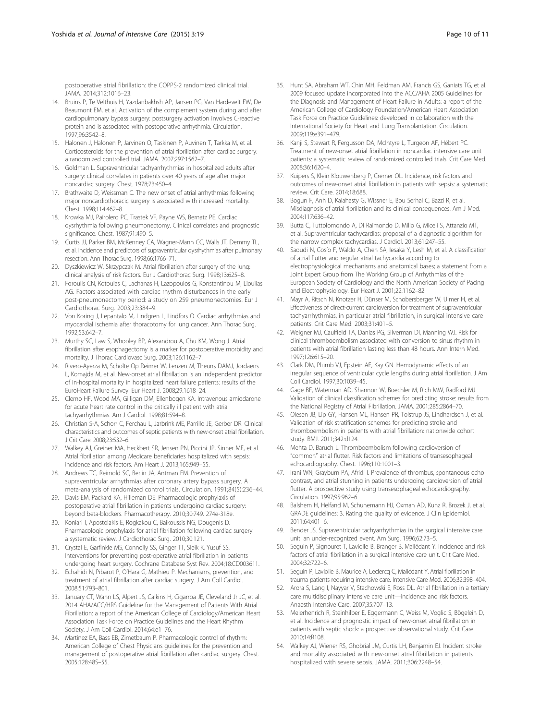<span id="page-9-0"></span>postoperative atrial fibrillation: the COPPS-2 randomized clinical trial. JAMA. 2014;312:1016–23.

- 14. Bruins P, Te Velthuis H, Yazdanbakhsh AP, Jansen PG, Van Hardevelt FW, De Beaumont EM, et al. Activation of the complement system during and after cardiopulmonary bypass surgery: postsurgery activation involves C-reactive protein and is associated with postoperative arrhythmia. Circulation. 1997;96:3542–8.
- 15. Halonen J, Halonen P, Jarvinen O, Taskinen P, Auvinen T, Tarkka M, et al. Corticosteroids for the prevention of atrial fibrillation after cardiac surgery: a randomized controlled trial. JAMA. 2007;297:1562–7.
- 16. Goldman L. Supraventricular tachyarrhythmias in hospitalized adults after surgery: clinical correlates in patients over 40 years of age after major noncardiac surgery. Chest. 1978;73:450–4.
- 17. Brathwaite D, Weissman C. The new onset of atrial arrhythmias following major noncardiothoracic surgery is associated with increased mortality. Chest. 1998;114:462–8.
- 18. Krowka MJ, Pairolero PC, Trastek VF, Payne WS, Bernatz PE. Cardiac dysrhythmia following pneumonectomy. Clinical correlates and prognostic significance. Chest. 1987;91:490–5.
- 19. Curtis JJ, Parker BM, McKenney CA, Wagner-Mann CC, Walls JT, Demmy TL, et al. Incidence and predictors of supraventricular dysrhythmias after pulmonary resection. Ann Thorac Surg. 1998;66:1766–71.
- 20. Dyszkiewicz W, Skrzypczak M. Atrial fibrillation after surgery of the lung: clinical analysis of risk factors. Eur J Cardiothorac Surg. 1998;13:625–8.
- 21. Foroulis CN, Kotoulas C, Lachanas H, Lazopoulos G, Konstantinou M, Lioulias AG. Factors associated with cardiac rhythm disturbances in the early post-pneumonectomy period: a study on 259 pneumonectomies. Eur J Cardiothorac Surg. 2003;23:384–9.
- 22. Von Koring J, Lepantalo M, Lindgren L, Lindfors O. Cardiac arrhythmias and myocardial ischemia after thoracotomy for lung cancer. Ann Thorac Surg. 1992;53:642–7.
- 23. Murthy SC, Law S, Whooley BP, Alexandrou A, Chu KM, Wong J. Atrial fibrillation after esophagectomy is a marker for postoperative morbidity and mortality. J Thorac Cardiovasc Surg. 2003;126:1162–7.
- 24. Rivero-Ayerza M, Scholte Op Reimer W, Lenzen M, Theuns DAMJ, Jordaens L, Komajda M, et al. New-onset atrial fibrillation is an independent predictor of in-hospital mortality in hospitalized heart failure patients: results of the EuroHeart Failure Survey. Eur Heart J. 2008;29:1618–24.
- 25. Clemo HF, Wood MA, Gilligan DM, Ellenbogen KA. Intravenous amiodarone for acute heart rate control in the critically ill patient with atrial tachyarrhythmias. Am J Cardiol. 1998;81:594–8.
- 26. Christian S-A, Schorr C, Ferchau L, Jarbrink ME, Parrillo JE, Gerber DR. Clinical characteristics and outcomes of septic patients with new-onset atrial fibrillation. J Crit Care. 2008;23:532–6.
- 27. Walkey AJ, Greiner MA, Heckbert SR, Jensen PN, Piccini JP, Sinner MF, et al. Atrial fibrillation among Medicare beneficiaries hospitalized with sepsis: incidence and risk factors. Am Heart J. 2013;165:949–55.
- 28. Andrews TC, Reimold SC, Berlin JA, Antman EM. Prevention of supraventricular arrhythmias after coronary artery bypass surgery. A meta-analysis of randomized control trials. Circulation. 1991;84(5):236–44.
- 29. Davis EM, Packard KA, Hilleman DE. Pharmacologic prophylaxis of postoperative atrial fibrillation in patients undergoing cardiac surgery: beyond beta-blockers. Pharmacotherapy. 2010;30:749. 274e-318e.
- 30. Koniari I, Apostolakis E, Rogkakou C, Baikoussis NG, Dougenis D. Pharmacologic prophylaxis for atrial fibrillation following cardiac surgery: a systematic review. J Cardiothorac Surg. 2010;30:121.
- 31. Crystal E, Garfinkle MS, Connolly SS, Ginger TT, Sleik K, Yusuf SS. Interventions for preventing post-operative atrial fibrillation in patients undergoing heart surgery. Cochrane Database Syst Rev. 2004;18:CD003611.
- 32. Echahidi N, Pibarot P, O'Hara G, Mathieu P. Mechanisms, prevention, and treatment of atrial fibrillation after cardiac surgery. J Am Coll Cardiol. 2008;51:793–801.
- 33. January CT, Wann LS, Alpert JS, Calkins H, Cigarroa JE, Cleveland Jr JC, et al. 2014 AHA/ACC/HRS Guideline for the Management of Patients With Atrial Fibrillation: a report of the American College of Cardiology/American Heart Association Task Force on Practice Guidelines and the Heart Rhythm Society. J Am Coll Cardiol. 2014;64:e1–76.
- 34. Martinez EA, Bass EB, Zimetbaum P. Pharmacologic control of rhythm: American College of Chest Physicians guidelines for the prevention and management of postoperative atrial fibrillation after cardiac surgery. Chest. 2005;128:48S–55.
- 35. Hunt SA, Abraham WT, Chin MH, Feldman AM, Francis GS, Ganiats TG, et al. 2009 focused update incorporated into the ACC/AHA 2005 Guidelines for the Diagnosis and Management of Heart Failure in Adults: a report of the American College of Cardiology Foundation/American Heart Association Task Force on Practice Guidelines: developed in collaboration with the International Society for Heart and Lung Transplantation. Circulation. 2009;119:e391–479.
- 36. Kanji S, Stewart R, Fergusson DA, McIntyre L, Turgeon AF, Hébert PC. Treatment of new-onset atrial fibrillation in noncardiac intensive care unit patients: a systematic review of randomized controlled trials. Crit Care Med. 2008;36:1620–4.
- 37. Kuipers S, Klein Klouwenberg P, Cremer OL. Incidence, risk factors and outcomes of new-onset atrial fibrillation in patients with sepsis: a systematic review. Crit Care. 2014;18:688.
- 38. Bogun F, Anh D, Kalahasty G, Wissner E, Bou Serhal C, Bazzi R, et al. Misdiagnosis of atrial fibrillation and its clinical consequences. Am J Med. 2004;117:636–42.
- 39. Buttà C, Tuttolomondo A, Di Raimondo D, Milio G, Miceli S, Attanzio MT, et al. Supraventricular tachycardias: proposal of a diagnostic algorithm for the narrow complex tachycardias. J Cardiol. 2013;61:247–55.
- 40. Saoudi N, Cosío F, Waldo A, Chen SA, Iesaka Y, Lesh M, et al. A classification of atrial flutter and regular atrial tachycardia according to electrophysiological mechanisms and anatomical bases; a statement from a Joint Expert Group from The Working Group of Arrhythmias of the European Society of Cardiology and the North American Society of Pacing and Electrophysiology. Eur Heart J. 2001;22:1162–82.
- 41. Mayr A, Ritsch N, Knotzer H, Dünser M, Schobersberger W, Ulmer H, et al. Effectiveness of direct-current cardioversion for treatment of supraventricular tachyarrhythmias, in particular atrial fibrillation, in surgical intensive care patients. Crit Care Med. 2003;31:401–5.
- 42. Weigner MJ, Caulfield TA, Danias PG, Silverman DI, Manning WJ. Risk for clinical thromboembolism associated with conversion to sinus rhythm in patients with atrial fibrillation lasting less than 48 hours. Ann Intern Med. 1997;126:615–20.
- 43. Clark DM, Plumb VJ, Epstein AE, Kay GN. Hemodynamic effects of an irregular sequence of ventricular cycle lengths during atrial fibrillation. J Am Coll Cardiol. 1997;30:1039–45.
- 44. Gage BF, Waterman AD, Shannon W, Boechler M, Rich MW, Radford MJ. Validation of clinical classification schemes for predicting stroke: results from the National Registry of Atrial Fibrillation. JAMA. 2001;285:2864–70.
- 45. Olesen JB, Lip GY, Hansen ML, Hansen PR, Tolstrup JS, Lindhardsen J, et al. Validation of risk stratification schemes for predicting stroke and thromboembolism in patients with atrial fibrillation: nationwide cohort study. BMJ. 2011;342:d124.
- 46. Mehta D, Baruch L. Thromboembolism following cardioversion of "common" atrial flutter. Risk factors and limitations of transesophageal echocardiography. Chest. 1996;110:1001–3.
- 47. Irani WN, Grayburn PA, Afridi I. Prevalence of thrombus, spontaneous echo contrast, and atrial stunning in patients undergoing cardioversion of atrial flutter. A prospective study using transesophageal echocardiography. Circulation. 1997;95:962–6.
- 48. Balshem H, Helfand M, Schunemann HJ, Oxman AD, Kunz R, Brozek J, et al. GRADE guidelines: 3. Rating the quality of evidence. J Clin Epidemiol. 2011;64:401–6.
- 49. Bender JS. Supraventricular tachyarrhythmias in the surgical intensive care unit: an under-recognized event. Am Surg. 1996;62:73–5.
- 50. Seguin P, Signouret T, Laviolle B, Branger B, Mallédant Y. Incidence and risk factors of atrial fibrillation in a surgical intensive care unit. Crit Care Med. 2004;32:722–6.
- 51. Seguin P, Laviolle B, Maurice A, Leclercq C, Mallédant Y. Atrial fibrillation in trauma patients requiring intensive care. Intensive Care Med. 2006;32:398–404.
- 52. Arora S, Lang I, Nayyar V, Stachowski E, Ross DL. Atrial fibrillation in a tertiary care multidisciplinary intensive care unit—incidence and risk factors. Anaesth Intensive Care. 2007;35:707–13.
- 53. Meierhenrich R, Steinhilber E, Eggermann C, Weiss M, Voglic S, Bögelein D, et al. Incidence and prognostic impact of new-onset atrial fibrillation in patients with septic shock: a prospective observational study. Crit Care. 2010;14:R108.
- 54. Walkey AJ, Wiener RS, Ghobrial JM, Curtis LH, Benjamin EJ. Incident stroke and mortality associated with new-onset atrial fibrillation in patients hospitalized with severe sepsis. JAMA. 2011;306:2248–54.